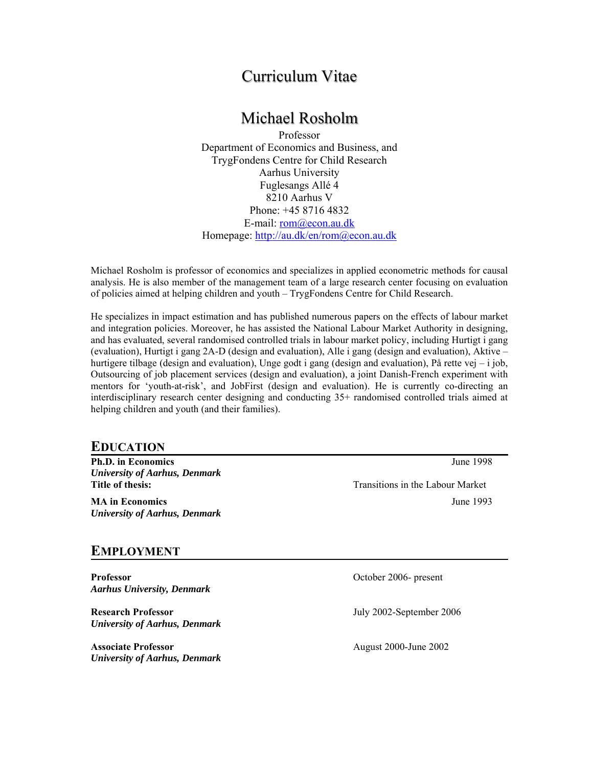# Curriculum Vitae

# Michael Rosholm

Professor Department of Economics and Business, and TrygFondens Centre for Child Research Aarhus University Fuglesangs Allé 4 8210 Aarhus V Phone: +45 8716 4832 E-mail: rom@econ.au.dk Homepage: http://au.dk/en/rom@econ.au.dk

Michael Rosholm is professor of economics and specializes in applied econometric methods for causal analysis. He is also member of the management team of a large research center focusing on evaluation of policies aimed at helping children and youth – TrygFondens Centre for Child Research.

He specializes in impact estimation and has published numerous papers on the effects of labour market and integration policies. Moreover, he has assisted the National Labour Market Authority in designing, and has evaluated, several randomised controlled trials in labour market policy, including Hurtigt i gang (evaluation), Hurtigt i gang 2A-D (design and evaluation), Alle i gang (design and evaluation), Aktive – hurtigere tilbage (design and evaluation), Unge godt i gang (design and evaluation), På rette vej – i job, Outsourcing of job placement services (design and evaluation), a joint Danish-French experiment with mentors for 'youth-at-risk', and JobFirst (design and evaluation). He is currently co-directing an interdisciplinary research center designing and conducting 35+ randomised controlled trials aimed at helping children and youth (and their families).

## **EDUCATION**

**Ph.D. in Economics** June 1998 *University of Aarhus, Denmark*

*University of Aarhus, Denmark*

**Title of thesis:** Transitions in the Labour Market **MA in Economics** June 1993

## **EMPLOYMENT**

**Professor COLLEGE 2006- present COLLEGE 2006-** present *Aarhus University, Denmark* 

**Research Professor** July 2002-September 2006 *University of Aarhus, Denmark* 

**Associate Professor** August 2000-June 2002 *University of Aarhus, Denmark*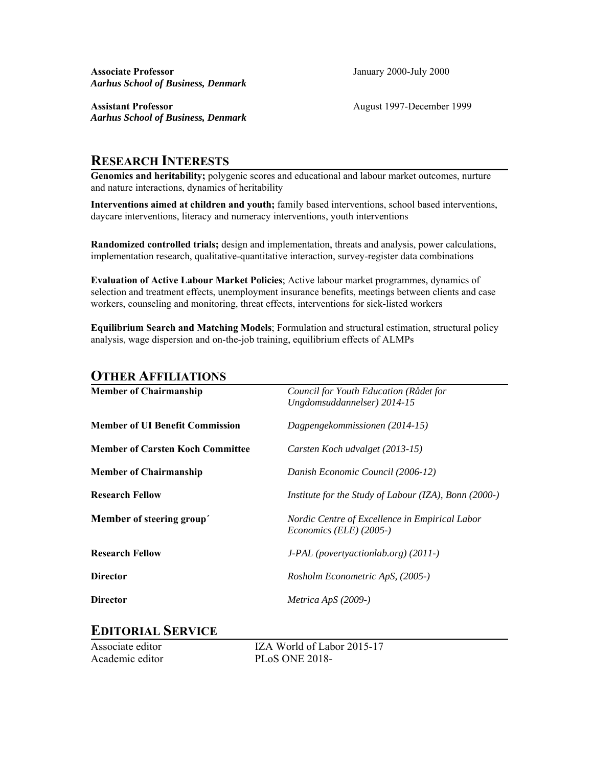**Associate Professor** January 2000-July 2000 *Aarhus School of Business, Denmark*

**Assistant Professor** August 1997-December 1999 *Aarhus School of Business, Denmark*

## **RESEARCH INTERESTS**

**Genomics and heritability;** polygenic scores and educational and labour market outcomes, nurture and nature interactions, dynamics of heritability

**Interventions aimed at children and youth;** family based interventions, school based interventions, daycare interventions, literacy and numeracy interventions, youth interventions

**Randomized controlled trials;** design and implementation, threats and analysis, power calculations, implementation research, qualitative-quantitative interaction, survey-register data combinations

**Evaluation of Active Labour Market Policies**; Active labour market programmes, dynamics of selection and treatment effects, unemployment insurance benefits, meetings between clients and case workers, counseling and monitoring, threat effects, interventions for sick-listed workers

**Equilibrium Search and Matching Models**; Formulation and structural estimation, structural policy analysis, wage dispersion and on-the-job training, equilibrium effects of ALMPs

## **OTHER AFFILIATIONS**

| <b>Member of Chairmanship</b>           | Council for Youth Education (Rådet for<br>Ungdomsuddannelser) 2014-15     |
|-----------------------------------------|---------------------------------------------------------------------------|
| <b>Member of UI Benefit Commission</b>  | Dagpengekommissionen (2014-15)                                            |
| <b>Member of Carsten Koch Committee</b> | Carsten Koch udvalget (2013-15)                                           |
| <b>Member of Chairmanship</b>           | Danish Economic Council (2006-12)                                         |
| <b>Research Fellow</b>                  | <i>Institute for the Study of Labour (IZA), Bonn (2000-)</i>              |
| Member of steering group'               | Nordic Centre of Excellence in Empirical Labor<br>Economics (ELE) (2005-) |
| <b>Research Fellow</b>                  | $J\text{-}PAL$ (poverty action lab.org) (2011-)                           |
| <b>Director</b>                         | Rosholm Econometric ApS, (2005-)                                          |
| <b>Director</b>                         | Metrica ApS $(2009-)$                                                     |

## **EDITORIAL SERVICE**

Associate editor IZA World of Labor 2015-17 Academic editor PLoS ONE 2018-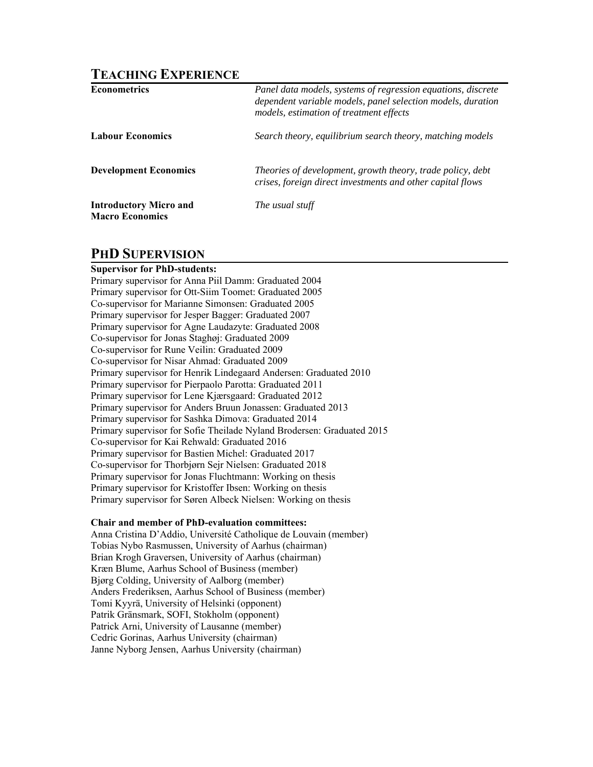## **TEACHING EXPERIENCE**

| <b>Econometrics</b>                                     | Panel data models, systems of regression equations, discrete<br>dependent variable models, panel selection models, duration<br>models, estimation of treatment effects |
|---------------------------------------------------------|------------------------------------------------------------------------------------------------------------------------------------------------------------------------|
| <b>Labour Economics</b>                                 | Search theory, equilibrium search theory, matching models                                                                                                              |
| <b>Development Economics</b>                            | Theories of development, growth theory, trade policy, debt<br>crises, foreign direct investments and other capital flows                                               |
| <b>Introductory Micro and</b><br><b>Macro Economics</b> | The usual stuff                                                                                                                                                        |

## **PHD SUPERVISION**

## **Supervisor for PhD-students:**

Primary supervisor for Anna Piil Damm: Graduated 2004 Primary supervisor for Ott-Siim Toomet: Graduated 2005 Co-supervisor for Marianne Simonsen: Graduated 2005 Primary supervisor for Jesper Bagger: Graduated 2007 Primary supervisor for Agne Laudazyte: Graduated 2008 Co-supervisor for Jonas Staghøj: Graduated 2009 Co-supervisor for Rune Veilin: Graduated 2009 Co-supervisor for Nisar Ahmad: Graduated 2009 Primary supervisor for Henrik Lindegaard Andersen: Graduated 2010 Primary supervisor for Pierpaolo Parotta: Graduated 2011 Primary supervisor for Lene Kjærsgaard: Graduated 2012 Primary supervisor for Anders Bruun Jonassen: Graduated 2013 Primary supervisor for Sashka Dimova: Graduated 2014 Primary supervisor for Sofie Theilade Nyland Brodersen: Graduated 2015 Co-supervisor for Kai Rehwald: Graduated 2016 Primary supervisor for Bastien Michel: Graduated 2017 Co-supervisor for Thorbjørn Sejr Nielsen: Graduated 2018 Primary supervisor for Jonas Fluchtmann: Working on thesis Primary supervisor for Kristoffer Ibsen: Working on thesis Primary supervisor for Søren Albeck Nielsen: Working on thesis

### **Chair and member of PhD-evaluation committees:**

Anna Cristina D'Addio, Université Catholique de Louvain (member) Tobias Nybo Rasmussen, University of Aarhus (chairman) Brian Krogh Graversen, University of Aarhus (chairman) Kræn Blume, Aarhus School of Business (member) Bjørg Colding, University of Aalborg (member) Anders Frederiksen, Aarhus School of Business (member) Tomi Kyyrä, University of Helsinki (opponent) Patrik Gränsmark, SOFI, Stokholm (opponent) Patrick Arni, University of Lausanne (member) Cedric Gorinas, Aarhus University (chairman) Janne Nyborg Jensen, Aarhus University (chairman)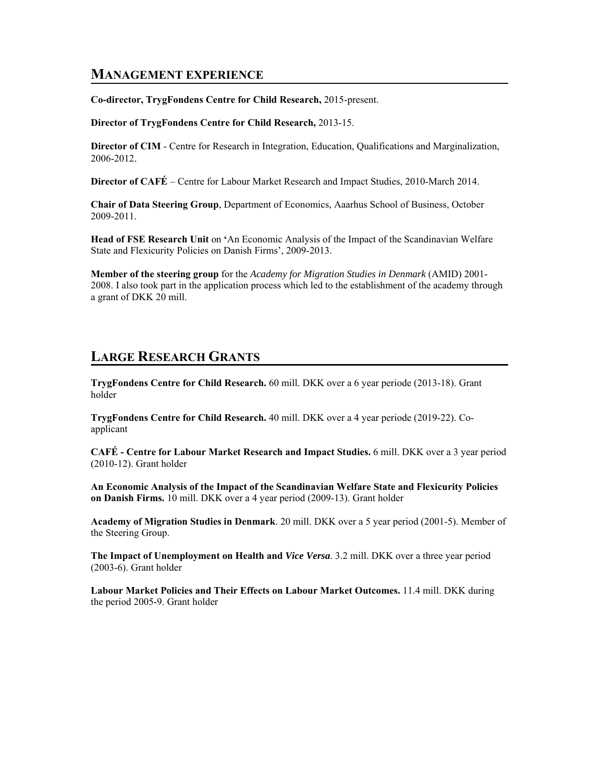## **MANAGEMENT EXPERIENCE**

**Co-director, TrygFondens Centre for Child Research,** 2015-present.

**Director of TrygFondens Centre for Child Research,** 2013-15.

**Director of CIM** - Centre for Research in Integration, Education, Qualifications and Marginalization, 2006-2012.

**Director of CAFÉ** – Centre for Labour Market Research and Impact Studies, 2010-March 2014.

**Chair of Data Steering Group**, Department of Economics, Aaarhus School of Business, October 2009-2011.

**Head of FSE Research Unit** on **'**An Economic Analysis of the Impact of the Scandinavian Welfare State and Flexicurity Policies on Danish Firms', 2009-2013.

**Member of the steering group** for the *Academy for Migration Studies in Denmark* (AMID) 2001- 2008. I also took part in the application process which led to the establishment of the academy through a grant of DKK 20 mill.

## **LARGE RESEARCH GRANTS**

**TrygFondens Centre for Child Research.** 60 mill. DKK over a 6 year periode (2013-18). Grant holder

**TrygFondens Centre for Child Research.** 40 mill. DKK over a 4 year periode (2019-22). Coapplicant

**CAFÉ - Centre for Labour Market Research and Impact Studies.** 6 mill. DKK over a 3 year period (2010-12). Grant holder

**An Economic Analysis of the Impact of the Scandinavian Welfare State and Flexicurity Policies on Danish Firms.** 10 mill. DKK over a 4 year period (2009-13). Grant holder

**Academy of Migration Studies in Denmark**. 20 mill. DKK over a 5 year period (2001-5). Member of the Steering Group.

**The Impact of Unemployment on Health and** *Vice Versa*. 3.2 mill. DKK over a three year period (2003-6). Grant holder

**Labour Market Policies and Their Effects on Labour Market Outcomes.** 11.4 mill. DKK during the period 2005-9. Grant holder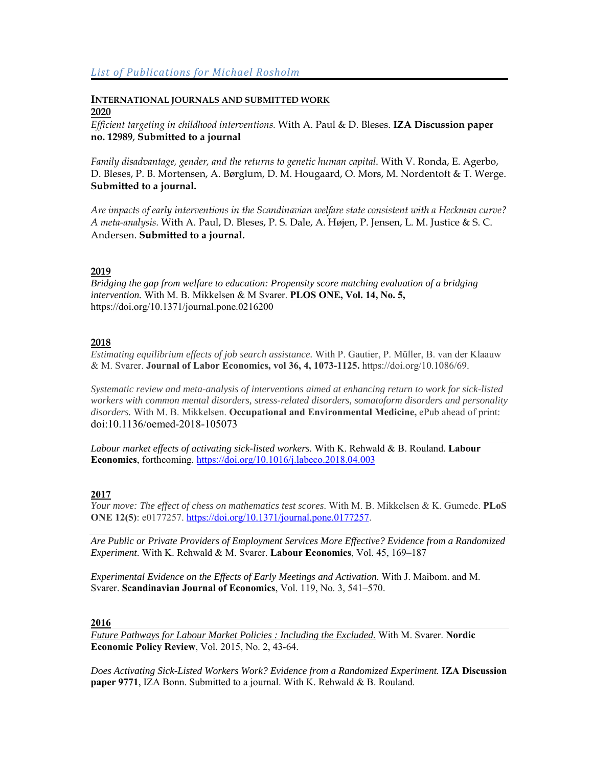## **INTERNATIONAL JOURNALS AND SUBMITTED WORK 2020**

*Efficient targeting in childhood interventions.* With A. Paul & D. Bleses. **IZA Discussion paper no. 12989**, **Submitted to a journal** 

*Family disadvantage, gender, and the returns to genetic human capital*. With V. Ronda, E. Agerbo, D. Bleses, P. B. Mortensen, A. Børglum, D. M. Hougaard, O. Mors, M. Nordentoft & T. Werge. **Submitted to a journal.** 

*Are impacts of early interventions in the Scandinavian welfare state consistent with a Heckman curve? A meta-analysis.* With A. Paul, D. Bleses, P. S. Dale, A. Højen, P. Jensen, L. M. Justice & S. C. Andersen. **Submitted to a journal.** 

## **2019**

*Bridging the gap from welfare to education: Propensity score matching evaluation of a bridging intervention.* With M. B. Mikkelsen & M Svarer. **PLOS ONE, Vol. 14, No. 5,** https://doi.org/10.1371/journal.pone.0216200

## **2018**

*Estimating equilibrium effects of job search assistance.* With P. Gautier, P. Müller, B. van der Klaauw & M. Svarer. **Journal of Labor Economics, vol 36, 4, 1073-1125.** https://doi.org/10.1086/69.

*Systematic review and meta-analysis of interventions aimed at enhancing return to work for sick-listed workers with common mental disorders, stress-related disorders, somatoform disorders and personality disorders.* With M. B. Mikkelsen. **Occupational and Environmental Medicine,** ePub ahead of print: doi:10.1136/oemed-2018-105073

*Labour market effects of activating sick-listed workers*. With K. Rehwald & B. Rouland. **Labour Economics**, forthcoming. https://doi.org/10.1016/j.labeco.2018.04.003

## **2017**

*Your move: The effect of chess on mathematics test scores*. With M. B. Mikkelsen & K. Gumede. **PLoS ONE 12(5)**: e0177257. https://doi.org/10.1371/journal.pone.0177257.

*Are Public or Private Providers of Employment Services More Effective? Evidence from a Randomized Experiment*. With K. Rehwald & M. Svarer. **Labour Economics**, Vol. 45, 169–187

*Experimental Evidence on the Effects of Early Meetings and Activation*. With J. Maibom. and M. Svarer. **Scandinavian Journal of Economics**, Vol. 119, No. 3, 541–570.

## **2016**

*Future Pathways for Labour Market Policies : Including the Excluded.* With M. Svarer. **Nordic Economic Policy Review**, Vol. 2015, No. 2, 43-64.

*Does Activating Sick-Listed Workers Work? Evidence from a Randomized Experiment.* **IZA Discussion paper 9771**, IZA Bonn. Submitted to a journal. With K. Rehwald & B. Rouland.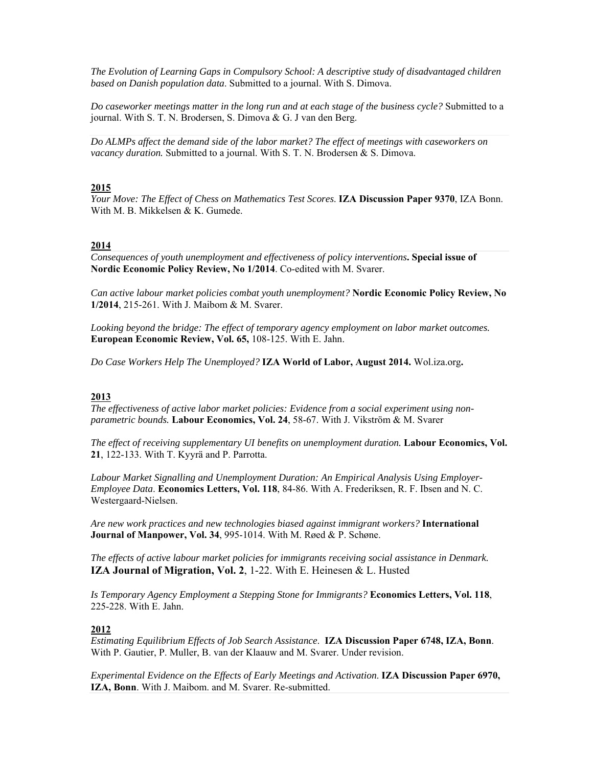*The Evolution of Learning Gaps in Compulsory School: A descriptive study of disadvantaged children based on Danish population data*. Submitted to a journal. With S. Dimova.

*Do caseworker meetings matter in the long run and at each stage of the business cycle?* Submitted to a journal. With S. T. N. Brodersen, S. Dimova & G. J van den Berg.

*Do ALMPs affect the demand side of the labor market? The effect of meetings with caseworkers on vacancy duration.* Submitted to a journal. With S. T. N. Brodersen & S. Dimova.

#### **2015**

*Your Move: The Effect of Chess on Mathematics Test Scores*. **IZA Discussion Paper 9370**, IZA Bonn. With M. B. Mikkelsen & K. Gumede.

#### **2014**

*Consequences of youth unemployment and effectiveness of policy interventions***. Special issue of Nordic Economic Policy Review, No 1/2014**. Co-edited with M. Svarer.

*Can active labour market policies combat youth unemployment?* **Nordic Economic Policy Review, No 1/2014**, 215-261. With J. Maibom & M. Svarer.

*Looking beyond the bridge: The effect of temporary agency employment on labor market outcomes.*  **European Economic Review, Vol. 65,** 108-125. With E. Jahn.

*Do Case Workers Help The Unemployed?* **IZA World of Labor, August 2014.** Wol.iza.org**.** 

#### **2013**

*The effectiveness of active labor market policies: Evidence from a social experiment using nonparametric bounds.* **Labour Economics, Vol. 24**, 58-67. With J. Vikström & M. Svarer

*The effect of receiving supplementary UI benefits on unemployment duration.* **Labour Economics, Vol. 21**, 122-133. With T. Kyyrä and P. Parrotta.

*Labour Market Signalling and Unemployment Duration: An Empirical Analysis Using Employer-Employee Data*. **Economics Letters, Vol. 118**, 84-86. With A. Frederiksen, R. F. Ibsen and N. C. Westergaard-Nielsen.

*Are new work practices and new technologies biased against immigrant workers?* **International Journal of Manpower, Vol. 34**, 995-1014. With M. Røed & P. Schøne.

*The effects of active labour market policies for immigrants receiving social assistance in Denmark.* **IZA Journal of Migration, Vol. 2**, 1-22. With E. Heinesen & L. Husted

*Is Temporary Agency Employment a Stepping Stone for Immigrants?* **Economics Letters, Vol. 118**, 225-228. With E. Jahn.

#### **2012**

*Estimating Equilibrium Effects of Job Search Assistance*. **IZA Discussion Paper 6748, IZA, Bonn**. With P. Gautier, P. Muller, B. van der Klaauw and M. Svarer. Under revision.

*Experimental Evidence on the Effects of Early Meetings and Activation*. **IZA Discussion Paper 6970, IZA, Bonn**. With J. Maibom. and M. Svarer. Re-submitted.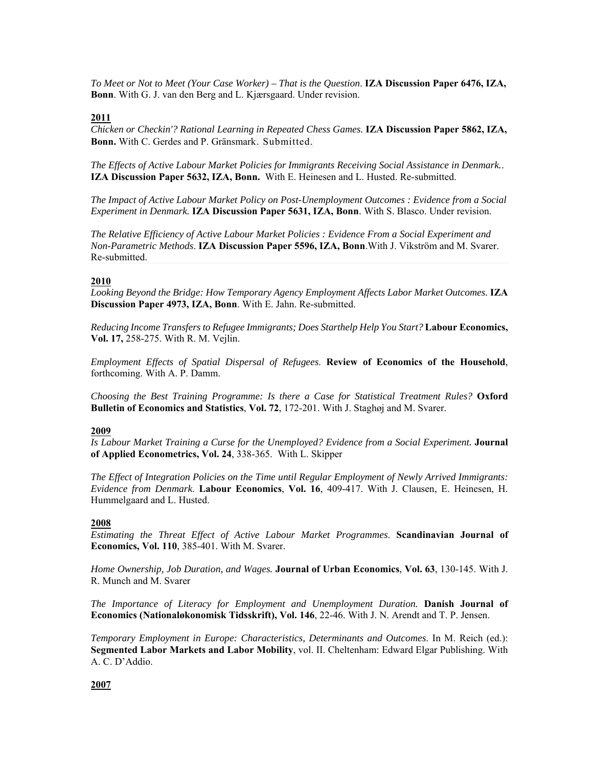*To Meet or Not to Meet (Your Case Worker) – That is the Question*. **IZA Discussion Paper 6476, IZA, Bonn**. With G. J. van den Berg and L. Kjærsgaard. Under revision.

## **2011**

*Chicken or Checkin'? Rational Learning in Repeated Chess Games.* **IZA Discussion Paper 5862, IZA, Bonn.** With C. Gerdes and P. Gränsmark. Submitted.

*The Effects of Active Labour Market Policies for Immigrants Receiving Social Assistance in Denmark.*. **IZA Discussion Paper 5632, IZA, Bonn.** With E. Heinesen and L. Husted. Re-submitted.

*The Impact of Active Labour Market Policy on Post-Unemployment Outcomes : Evidence from a Social Experiment in Denmark.* **IZA Discussion Paper 5631, IZA, Bonn**. With S. Blasco. Under revision.

*The Relative Efficiency of Active Labour Market Policies : Evidence From a Social Experiment and Non-Parametric Methods*. **IZA Discussion Paper 5596, IZA, Bonn**.With J. Vikström and M. Svarer. Re-submitted.

#### **2010**

Looking Beyond the Bridge: How Temporary Agency Employment Affects Labor Market Outcomes. IZA **Discussion Paper 4973, IZA, Bonn**. With E. Jahn. Re-submitted.

*Reducing Income Transfers to Refugee Immigrants; Does Starthelp Help You Start?* **Labour Economics, Vol. 17,** 258-275. With R. M. Vejlin.

*Employment Effects of Spatial Dispersal of Refugees*. **Review of Economics of the Household**, forthcoming. With A. P. Damm.

*Choosing the Best Training Programme: Is there a Case for Statistical Treatment Rules?* **Oxford Bulletin of Economics and Statistics**, **Vol. 72**, 172-201. With J. Staghøj and M. Svarer.

#### **2009**

*Is Labour Market Training a Curse for the Unemployed? Evidence from a Social Experiment.* **Journal of Applied Econometrics, Vol. 24**, 338-365. With L. Skipper

*The Effect of Integration Policies on the Time until Regular Employment of Newly Arrived Immigrants: Evidence from Denmark*. **Labour Economics**, **Vol. 16**, 409-417. With J. Clausen, E. Heinesen, H. Hummelgaard and L. Husted.

#### **2008**

*Estimating the Threat Effect of Active Labour Market Programmes*. **Scandinavian Journal of Economics, Vol. 110**, 385-401. With M. Svarer.

*Home Ownership, Job Duration, and Wages.* **Journal of Urban Economics**, **Vol. 63**, 130-145. With J. R. Munch and M. Svarer

*The Importance of Literacy for Employment and Unemployment Duration.* **Danish Journal of Economics (Nationaløkonomisk Tidsskrift), Vol. 146**, 22-46. With J. N. Arendt and T. P. Jensen.

*Temporary Employment in Europe: Characteristics, Determinants and Outcomes*. In M. Reich (ed.): **Segmented Labor Markets and Labor Mobility**, vol. II. Cheltenham: Edward Elgar Publishing. With A. C. D'Addio.

#### **2007**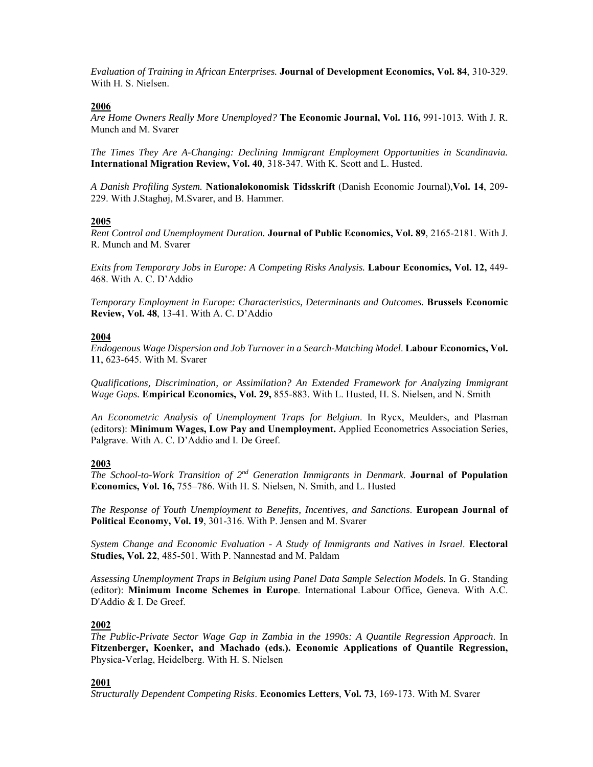*Evaluation of Training in African Enterprises.* **Journal of Development Economics, Vol. 84**, 310-329. With H. S. Nielsen.

#### **2006**

*Are Home Owners Really More Unemployed?* **The Economic Journal, Vol. 116,** 991-1013*.* With J. R. Munch and M. Svarer

*The Times They Are A-Changing: Declining Immigrant Employment Opportunities in Scandinavia.* **International Migration Review, Vol. 40**, 318-347. With K. Scott and L. Husted.

*A Danish Profiling System.* **Nationaløkonomisk Tidsskrift** (Danish Economic Journal),**Vol. 14**, 209- 229. With J.Staghøj, M.Svarer, and B. Hammer.

#### **2005**

*Rent Control and Unemployment Duration.* **Journal of Public Economics, Vol. 89**, 2165-2181. With J. R. Munch and M. Svarer

*Exits from Temporary Jobs in Europe: A Competing Risks Analysis.* **Labour Economics, Vol. 12,** 449- 468. With A. C. D'Addio

*Temporary Employment in Europe: Characteristics, Determinants and Outcomes.* **Brussels Economic Review, Vol. 48**, 13-41. With A. C. D'Addio

#### **2004**

*Endogenous Wage Dispersion and Job Turnover in a Search-Matching Model*. **Labour Economics, Vol. 11**, 623-645. With M. Svarer

*Qualifications, Discrimination, or Assimilation? An Extended Framework for Analyzing Immigrant Wage Gaps.* **Empirical Economics, Vol. 29,** 855-883. With L. Husted, H. S. Nielsen, and N. Smith

*An Econometric Analysis of Unemployment Traps for Belgium*. In Rycx, Meulders, and Plasman (editors): **Minimum Wages, Low Pay and Unemployment.** Applied Econometrics Association Series, Palgrave. With A. C. D'Addio and I. De Greef.

### **2003**

*The School-to-Work Transition of 2nd Generation Immigrants in Denmark*. **Journal of Population Economics, Vol. 16,** 755–786. With H. S. Nielsen, N. Smith, and L. Husted

*The Response of Youth Unemployment to Benefits, Incentives, and Sanctions*. **European Journal of Political Economy, Vol. 19**, 301-316. With P. Jensen and M. Svarer

*System Change and Economic Evaluation - A Study of Immigrants and Natives in Israel*. **Electoral Studies, Vol. 22**, 485-501. With P. Nannestad and M. Paldam

*Assessing Unemployment Traps in Belgium using Panel Data Sample Selection Models.* In G. Standing (editor): **Minimum Income Schemes in Europe**. International Labour Office, Geneva. With A.C. D'Addio & I. De Greef.

### **2002**

*The Public-Private Sector Wage Gap in Zambia in the 1990s: A Quantile Regression Approach*. In **Fitzenberger, Koenker, and Machado (eds.). Economic Applications of Quantile Regression,** Physica-Verlag, Heidelberg. With H. S. Nielsen

### **2001**

*Structurally Dependent Competing Risks*. **Economics Letters**, **Vol. 73**, 169-173. With M. Svarer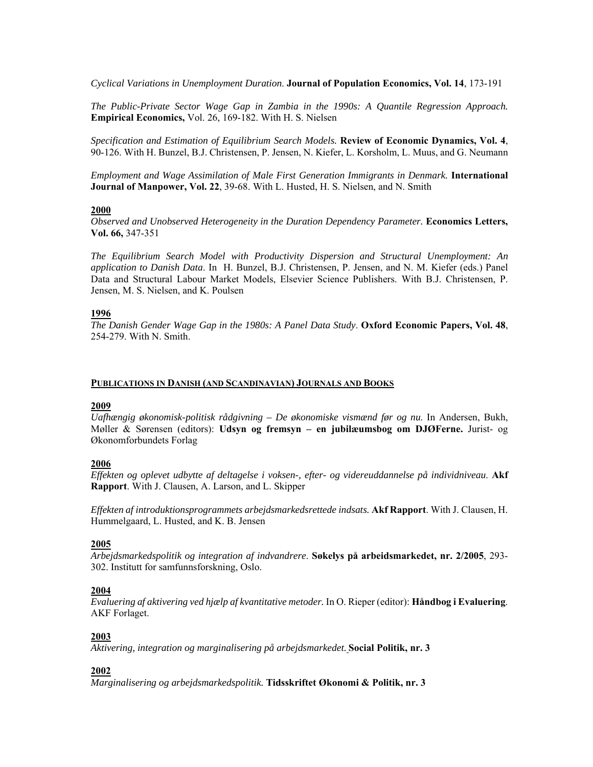*Cyclical Variations in Unemployment Duration*. **Journal of Population Economics, Vol. 14**, 173-191

*The Public-Private Sector Wage Gap in Zambia in the 1990s: A Quantile Regression Approach.*  **Empirical Economics,** Vol. 26, 169-182. With H. S. Nielsen

*Specification and Estimation of Equilibrium Search Models.* **Review of Economic Dynamics, Vol. 4**, 90-126. With H. Bunzel, B.J. Christensen, P. Jensen, N. Kiefer, L. Korsholm, L. Muus, and G. Neumann

*Employment and Wage Assimilation of Male First Generation Immigrants in Denmark.* **International Journal of Manpower, Vol. 22**, 39-68. With L. Husted, H. S. Nielsen, and N. Smith

#### **2000**

*Observed and Unobserved Heterogeneity in the Duration Dependency Parameter.* **Economics Letters, Vol. 66,** 347-351

*The Equilibrium Search Model with Productivity Dispersion and Structural Unemployment: An application to Danish Data*. In H. Bunzel, B.J. Christensen, P. Jensen, and N. M. Kiefer (eds.) Panel Data and Structural Labour Market Models, Elsevier Science Publishers. With B.J. Christensen, P. Jensen, M. S. Nielsen, and K. Poulsen

### **1996**

*The Danish Gender Wage Gap in the 1980s: A Panel Data Study*. **Oxford Economic Papers, Vol. 48**, 254-279. With N. Smith.

#### **PUBLICATIONS IN DANISH (AND SCANDINAVIAN) JOURNALS AND BOOKS**

#### **2009**

*Uafhængig økonomisk-politisk rådgivning – De økonomiske vismænd før og nu*. In Andersen, Bukh, Møller & Sørensen (editors): **Udsyn og fremsyn – en jubilæumsbog om DJØFerne.** Jurist- og Økonomforbundets Forlag

### **2006**

*Effekten og oplevet udbytte af deltagelse i voksen-, efter- og videreuddannelse på individniveau*. **Akf Rapport**. With J. Clausen, A. Larson, and L. Skipper

*Effekten af introduktionsprogrammets arbejdsmarkedsrettede indsats.* **Akf Rapport**. With J. Clausen, H. Hummelgaard, L. Husted, and K. B. Jensen

### **2005**

*Arbejdsmarkedspolitik og integration af indvandrere*. **Søkelys på arbeidsmarkedet, nr. 2/2005**, 293- 302. Institutt for samfunnsforskning, Oslo.

### **2004**

*Evaluering af aktivering ved hjælp af kvantitative metoder.* In O. Rieper (editor): **Håndbog i Evaluering**. AKF Forlaget.

### **2003**

*Aktivering, integration og marginalisering på arbejdsmarkedet.* **Social Politik, nr. 3**

## **2002**

*Marginalisering og arbejdsmarkedspolitik.* **Tidsskriftet Økonomi & Politik, nr. 3**